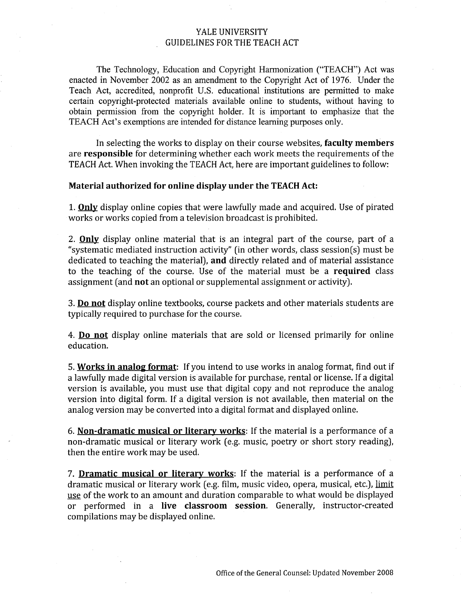## YALE UNIVERSITY GUIDELINES FOR THE TEACH ACT

The Technology, Education and Copyright Harmonization ("TEACH") Act was enacted in November 2002 as an amendment to the Copyright Act of 1976. Under the Teach Act, accredited, nonprofit U.S. educational institutions are permitted to make certain copyright-protected materials available online to students, without having to obtain permission from the copyright holder. It is important to emphasize that the TEACH Act's exemptions are intended for distance learning purposes only.

In selecting the works to display on their course websites, faculty members are responsible for determining whether each work meets the requirements of the TEACH Act. When invoking the TEACH Act, here are important guidelines to follow:

#### Material authorized for online display under the TEACH Act:

1. **Only** display online copies that were lawfully made and acquired. Use of pirated works or works copied from a television broadcast is prohibited.

2. **Only** display online material that is an integral part of the course, part of a "systematic mediated instruction activity" (in other words, class session(s) must be dedicated to teaching the material), and directly related and of material assistance to the teaching of the course. Use of the material must be a required class assignment (and not an optional or supplemental assignment or activity).

3. Do not display online textbooks, course packets and other materials students are typically required to purchase for the course.

4. Do not display online materials that are sold or licensed primarily for online education.

5. Works in analog format: If you intend to use works in analog format, find out if a lawfully made digital version is available for purchase, rental or license. If a digital version is available, you must use that digital copy and not reproduce the analog version into digital form. If a digital version is not available, then material on the analog version may be converted into a digital format and displayed online.

6. Non-dramatic musical or literary works: If the material is a performance of a non-dramatic musical or literary work (e.g. music, poetry or short story reading), then the entire work may be used.

7. Dramatic musical or literary works: If the material is a performance of a dramatic musical or literary work (e.g. film, music video, opera, musical, etc.), limit use of the work to an amount and duration comparable to what would be displayed or performed in a live classroom session. Generally, instructor-created compilations may be displayed online.